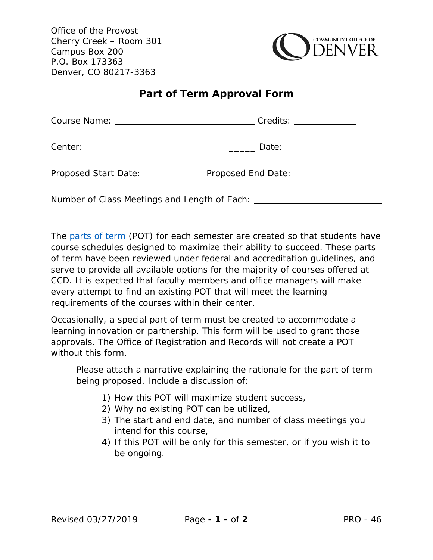Office of the Provost Cherry Creek – Room 301 Campus Box 200 P.O. Box 173363 Denver, CO 80217-3363



## **Part of Term Approval Form**

|                                              | Date: _____________               |
|----------------------------------------------|-----------------------------------|
| Proposed Start Date: <u>_____________</u>    | Proposed End Date: ______________ |
| Number of Class Meetings and Length of Each: |                                   |

The [parts of term](https://www.ccd.edu/docs/schedule-parts-term) (POT) for each semester are created so that students have course schedules designed to maximize their ability to succeed. These parts of term have been reviewed under federal and accreditation guidelines, and serve to provide all available options for the majority of courses offered at CCD. It is expected that faculty members and office managers will make every attempt to find an existing POT that will meet the learning requirements of the courses within their center.

Occasionally, a special part of term must be created to accommodate a learning innovation or partnership. This form will be used to grant those approvals. The Office of Registration and Records will not create a POT without this form.

Please attach a narrative explaining the rationale for the part of term being proposed. Include a discussion of:

- 1) How this POT will maximize student success,
- 2) Why no existing POT can be utilized,
- 3) The start and end date, and number of class meetings you intend for this course,
- 4) If this POT will be only for this semester, or if you wish it to be ongoing.